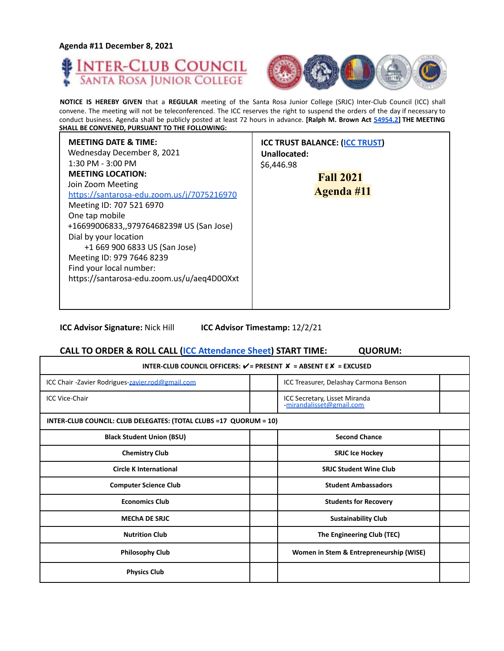**Agenda #11 December 8, 2021**

Г





┓

**NOTICE IS HEREBY GIVEN** that a **REGULAR** meeting of the Santa Rosa Junior College (SRJC) Inter-Club Council (ICC) shall convene. The meeting will not be teleconferenced. The ICC reserves the right to suspend the orders of the day if necessary to conduct business. Agenda shall be publicly posted at least 72 hours in advance. **[Ralph M. Brown Act 54954.2] THE MEETING SHALL BE CONVENED, PURSUANT TO THE FOLLOWING:**

| <b>MEETING DATE &amp; TIME:</b><br>Wednesday December 8, 2021<br>$1:30$ PM - $3:00$ PM<br><b>MEETING LOCATION:</b><br>Join Zoom Meeting<br>https://santarosa-edu.zoom.us/j/7075216970<br>Meeting ID: 707 521 6970<br>One tap mobile<br>+16699006833,,97976468239# US (San Jose)<br>Dial by your location<br>+1 669 900 6833 US (San Jose)<br>Meeting ID: 979 7646 8239<br>Find your local number:<br>https://santarosa-edu.zoom.us/u/aeq4D0OXxt | <b>ICC TRUST BALANCE: (ICC TRUST)</b><br>Unallocated:<br>\$6,446.98<br><b>Fall 2021</b><br><b>Agenda</b> #11 |
|-------------------------------------------------------------------------------------------------------------------------------------------------------------------------------------------------------------------------------------------------------------------------------------------------------------------------------------------------------------------------------------------------------------------------------------------------|--------------------------------------------------------------------------------------------------------------|
|-------------------------------------------------------------------------------------------------------------------------------------------------------------------------------------------------------------------------------------------------------------------------------------------------------------------------------------------------------------------------------------------------------------------------------------------------|--------------------------------------------------------------------------------------------------------------|

**ICC Advisor Signature:** Nick Hill **ICC Advisor Timestamp:** 12/2/21

## **CALL TO ORDER & ROLL CALL (ICC Attendance Sheet) START TIME: QUORUM:**

| INTER-CLUB COUNCIL OFFICERS: $V = P$ RESENT $X = AB$ SENT E $X = EXCUSED$ |                                                           |  |
|---------------------------------------------------------------------------|-----------------------------------------------------------|--|
| ICC Chair - Zavier Rodrigues-zavier.rod@gmail.com                         | ICC Treasurer, Delashay Carmona Benson                    |  |
| <b>ICC Vice-Chair</b>                                                     | ICC Secretary, Lisset Miranda<br>-mirandalisset@gmail.com |  |
| INTER-CLUB COUNCIL: CLUB DELEGATES: (TOTAL CLUBS =17 QUORUM = 10)         |                                                           |  |
| <b>Black Student Union (BSU)</b>                                          | <b>Second Chance</b>                                      |  |
| <b>Chemistry Club</b>                                                     | <b>SRJC Ice Hockey</b>                                    |  |
| <b>Circle K International</b>                                             | <b>SRJC Student Wine Club</b>                             |  |
| <b>Computer Science Club</b>                                              | <b>Student Ambassadors</b>                                |  |
| <b>Economics Club</b>                                                     | <b>Students for Recovery</b>                              |  |
| <b>MECHA DE SRJC</b>                                                      | <b>Sustainability Club</b>                                |  |
| <b>Nutrition Club</b>                                                     | The Engineering Club (TEC)                                |  |
| <b>Philosophy Club</b>                                                    | Women in Stem & Entrepreneurship (WISE)                   |  |
| <b>Physics Club</b>                                                       |                                                           |  |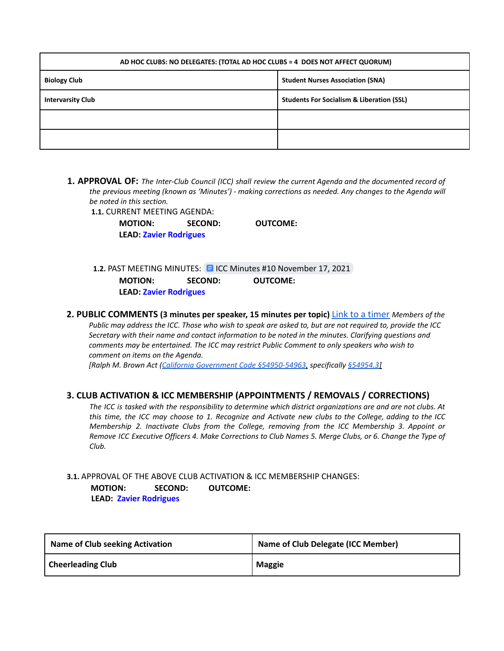| AD HOC CLUBS: NO DELEGATES: (TOTAL AD HOC CLUBS = 4 DOES NOT AFFECT QUORUM) |                                                      |  |
|-----------------------------------------------------------------------------|------------------------------------------------------|--|
| <b>Biology Club</b>                                                         | <b>Student Nurses Association (SNA)</b>              |  |
| <b>Intervarsity Club</b>                                                    | <b>Students For Socialism &amp; Liberation (SSL)</b> |  |
|                                                                             |                                                      |  |
|                                                                             |                                                      |  |

#### **1. APPROVAL OF:** *The Inter-Club Council (ICC) shall review the current Agenda and the documented record of the previous meeting (known as 'Minutes') - making corrections as needed. Any changes to the Agenda will be noted in this section.*

**1.1.** CURRENT MEETING AGENDA:

**MOTION: SECOND: OUTCOME: LEAD: Zavier Rodrigues**

**1.2. PAST MEETING MINUTES: E ICC Minutes #10 [November](https://docs.google.com/document/d/1EseXWCOhj0l2EFobdVYKuLsU0NIgVWho1VgMmfx2BIo/edit?usp=sharing) 17, 2021 MOTION: SECOND: OUTCOME: LEAD: Zavier Rodrigues**

**2. PUBLIC COMMENTS (3 minutes per speaker, 15 minutes per topic)** Link to a timer *Members of the* Public may address the ICC. Those who wish to speak are asked to, but are not required to, provide the ICC *Secretary with their name and contact information to be noted in the minutes. Clarifying questions and comments may be entertained. The ICC may restrict Public Comment to only speakers who wish to comment on items on the Agenda. [Ralph M. Brown Act (California Government Code §54950-54963, specifically §54954.3]*

## **3. CLUB ACTIVATION & ICC MEMBERSHIP (APPOINTMENTS / REMOVALS / CORRECTIONS)**

The ICC is tasked with the responsibility to determine which district organizations are and are not clubs. At this time, the ICC may choose to 1. Recognize and Activate new clubs to the College, adding to the ICC *Membership 2. Inactivate Clubs from the College, removing from the ICC Membership 3. Appoint or* Remove ICC Executive Officers 4. Make Corrections to Club Names 5. Merge Clubs, or 6. Change the Type of *Club.*

#### **3.1.** APPROVAL OF THE ABOVE CLUB ACTIVATION & ICC MEMBERSHIP CHANGES: **MOTION: SECOND: OUTCOME: LEAD: Zavier Rodrigues**

| <b>Name of Club seeking Activation</b> | <b>Name of Club Delegate (ICC Member)</b> |
|----------------------------------------|-------------------------------------------|
| <b>Cheerleading Club</b>               | <b>Maggie</b>                             |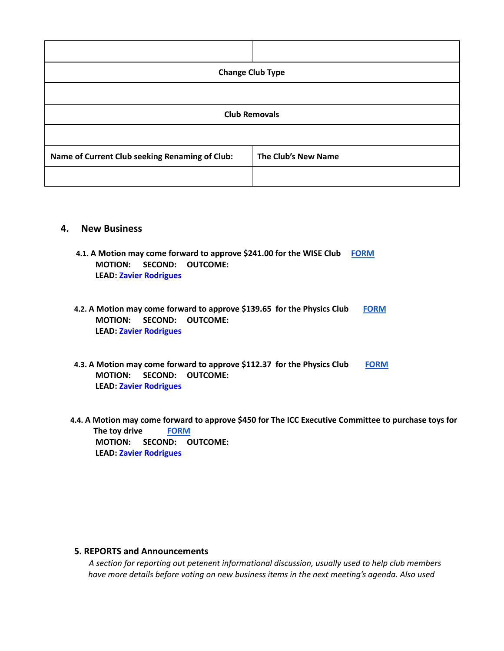| <b>Change Club Type</b>                        |                     |  |
|------------------------------------------------|---------------------|--|
|                                                |                     |  |
| <b>Club Removals</b>                           |                     |  |
|                                                |                     |  |
| Name of Current Club seeking Renaming of Club: | The Club's New Name |  |
|                                                |                     |  |

## **4. New Business**

- **4.1. A Motion may come forward to approve \$241.00 for the WISE Club [FORM](https://studentlife.santarosa.edu/sites/studentlife.santarosa.edu/files/documents/ICC%20Grant%20App%20-%20OUTSIDE%20ORGS_1.pdf) MOTION: SECOND: OUTCOME: LEAD: Zavier Rodrigues**
- **4.2. A Motion may come forward to approve \$139.65 for the Physics Club [FORM](https://studentlife.santarosa.edu/sites/studentlife.santarosa.edu/files/documents/ICC%20Grant%20Application%20Physics%20Club%20Exploritorium%20%281%29.pdf) MOTION: SECOND: OUTCOME: LEAD: Zavier Rodrigues**
- **4.3. A Motion may come forward to approve \$112.37 for the Physics Club [FORM](https://studentlife.santarosa.edu/sites/studentlife.santarosa.edu/files/documents/ICC%20Grant%20Application%20Physics%20Club%20Reimbursment_0.pdf) MOTION: SECOND: OUTCOME: LEAD: Zavier Rodrigues**
- 4.4. A Motion may come forward to approve \$450 for The ICC Executive Committee to purchase toys for **The toy drive [FORM](https://studentlife.santarosa.edu/sites/studentlife.santarosa.edu/files/documents/ICC%20Funds%20Request-Toy%20Drive.pdf) MOTION: SECOND: OUTCOME: LEAD: Zavier Rodrigues**

## **5. REPORTS and Announcements**

*A section for reporting out petenent informational discussion, usually used to help club members have more details before voting on new business items in the next meeting's agenda. Also used*